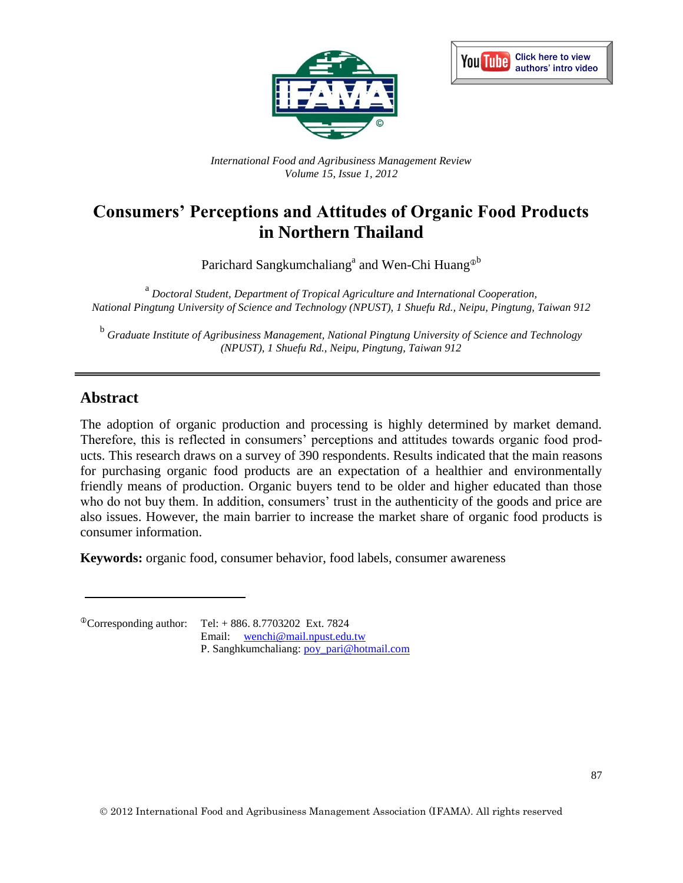



*International Food and Agribusiness Management Review Volume 15, Issue 1, 2012*

# **Consumers' Perceptions and Attitudes of Organic Food Products in Northern Thailand**

Parichard Sangkumchaliang<sup>a</sup> and Wen-Chi Huang<sup>®b</sup>

<sup>a</sup> Doctoral Student, Department of Tropical Agriculture and International Cooperation, *National Pingtung University of Science and Technology (NPUST), 1 Shuefu Rd., Neipu, Pingtung, Taiwan 912*

<sup>b</sup> Graduate Institute of Agribusiness Management, National Pingtung University of Science and Technology *(NPUST), 1 Shuefu Rd., Neipu, Pingtung, Taiwan 912*

#### **Abstract**

The adoption of organic production and processing is highly determined by market demand. Therefore, this is reflected in consumers' perceptions and attitudes towards organic food products. This research draws on a survey of 390 respondents. Results indicated that the main reasons for purchasing organic food products are an expectation of a healthier and environmentally friendly means of production. Organic buyers tend to be older and higher educated than those who do not buy them. In addition, consumers' trust in the authenticity of the goods and price are also issues. However, the main barrier to increase the market share of organic food products is consumer information.

**Keywords:** organic food, consumer behavior, food labels, consumer awareness

 ${}^{\circ}$ Corresponding author: Tel: + 886. 8.7703202 Ext. 7824 Email: [wenchi@mail.npust.edu.tw](mailto:wenchi@mail.npust.edu.tw)  P. Sanghkumchaliang: [poy\\_pari@hotmail.com](mailto:poy_pari@hotmail.com)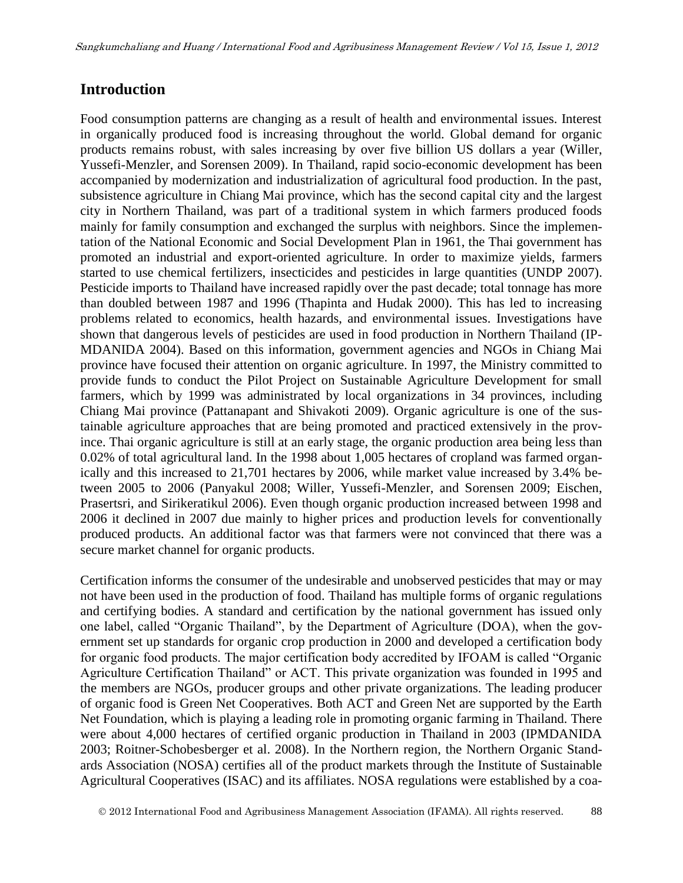### **Introduction**

Food consumption patterns are changing as a result of health and environmental issues. Interest in organically produced food is increasing throughout the world. Global demand for organic products remains robust, with sales increasing by over five billion US dollars a year (Willer, Yussefi-Menzler, and Sorensen 2009). In Thailand, rapid socio-economic development has been accompanied by modernization and industrialization of agricultural food production. In the past, subsistence agriculture in Chiang Mai province, which has the second capital city and the largest city in Northern Thailand, was part of a traditional system in which farmers produced foods mainly for family consumption and exchanged the surplus with neighbors. Since the implementation of the National Economic and Social Development Plan in 1961, the Thai government has promoted an industrial and export-oriented agriculture. In order to maximize yields, farmers started to use chemical fertilizers, insecticides and pesticides in large quantities (UNDP 2007). Pesticide imports to Thailand have increased rapidly over the past decade; total tonnage has more than doubled between 1987 and 1996 (Thapinta and Hudak 2000). This has led to increasing problems related to economics, health hazards, and environmental issues. Investigations have shown that dangerous levels of pesticides are used in food production in Northern Thailand (IP-MDANIDA 2004). Based on this information, government agencies and NGOs in Chiang Mai province have focused their attention on organic agriculture. In 1997, the Ministry committed to provide funds to conduct the Pilot Project on Sustainable Agriculture Development for small farmers, which by 1999 was administrated by local organizations in 34 provinces, including Chiang Mai province (Pattanapant and Shivakoti 2009). Organic agriculture is one of the sustainable agriculture approaches that are being promoted and practiced extensively in the province. Thai organic agriculture is still at an early stage, the organic production area being less than 0.02% of total agricultural land. In the 1998 about 1,005 hectares of cropland was farmed organically and this increased to 21,701 hectares by 2006, while market value increased by 3.4% between 2005 to 2006 (Panyakul 2008; Willer, Yussefi-Menzler, and Sorensen 2009; Eischen, Prasertsri, and Sirikeratikul 2006). Even though organic production increased between 1998 and 2006 it declined in 2007 due mainly to higher prices and production levels for conventionally produced products. An additional factor was that farmers were not convinced that there was a secure market channel for organic products.

Certification informs the consumer of the undesirable and unobserved pesticides that may or may not have been used in the production of food. Thailand has multiple forms of organic regulations and certifying bodies. A standard and certification by the national government has issued only one label, called "Organic Thailand", by the Department of Agriculture (DOA), when the government set up standards for organic crop production in 2000 and developed a certification body for organic food products. The major certification body accredited by IFOAM is called "Organic Agriculture Certification Thailand" or ACT. This private organization was founded in 1995 and the members are NGOs, producer groups and other private organizations. The leading producer of organic food is Green Net Cooperatives. Both ACT and Green Net are supported by the Earth Net Foundation, which is playing a leading role in promoting organic farming in Thailand. There were about 4,000 hectares of certified organic production in Thailand in 2003 (IPMDANIDA 2003; Roitner-Schobesberger et al. 2008). In the Northern region, the Northern Organic Standards Association (NOSA) certifies all of the product markets through the Institute of Sustainable Agricultural Cooperatives (ISAC) and its affiliates. NOSA regulations were established by a coa-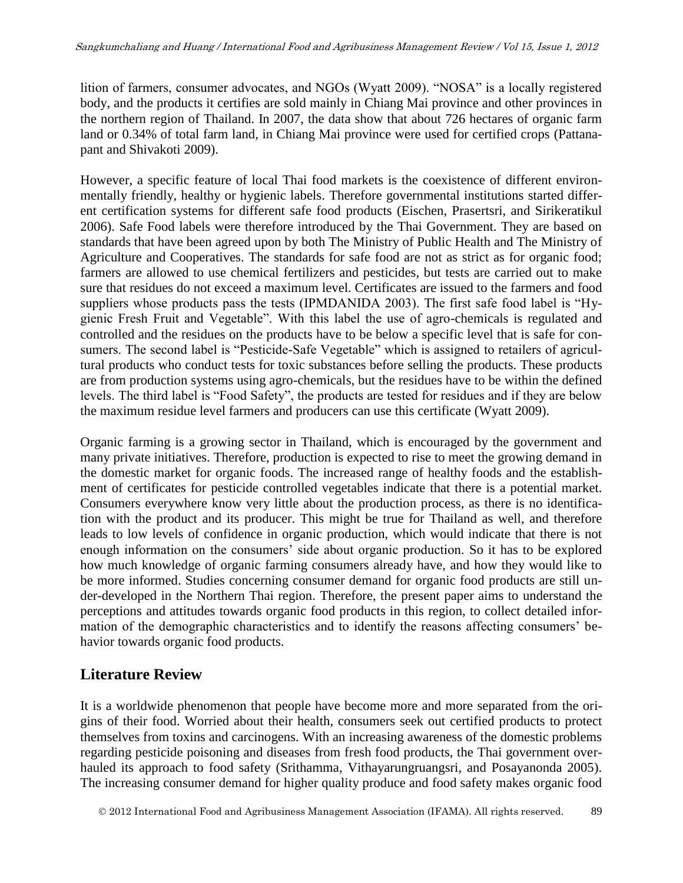lition of farmers, consumer advocates, and NGOs (Wyatt 2009). "NOSA" is a locally registered body, and the products it certifies are sold mainly in Chiang Mai province and other provinces in the northern region of Thailand. In 2007, the data show that about 726 hectares of organic farm land or 0.34% of total farm land, in Chiang Mai province were used for certified crops (Pattanapant and Shivakoti 2009).

However, a specific feature of local Thai food markets is the coexistence of different environmentally friendly, healthy or hygienic labels. Therefore governmental institutions started different certification systems for different safe food products (Eischen, Prasertsri, and Sirikeratikul 2006). Safe Food labels were therefore introduced by the Thai Government. They are based on standards that have been agreed upon by both The Ministry of Public Health and The Ministry of Agriculture and Cooperatives. The standards for safe food are not as strict as for organic food; farmers are allowed to use chemical fertilizers and pesticides, but tests are carried out to make sure that residues do not exceed a maximum level. Certificates are issued to the farmers and food suppliers whose products pass the tests (IPMDANIDA 2003). The first safe food label is "Hygienic Fresh Fruit and Vegetable". With this label the use of agro-chemicals is regulated and controlled and the residues on the products have to be below a specific level that is safe for consumers. The second label is "Pesticide-Safe Vegetable" which is assigned to retailers of agricultural products who conduct tests for toxic substances before selling the products. These products are from production systems using agro-chemicals, but the residues have to be within the defined levels. The third label is "Food Safety", the products are tested for residues and if they are below the maximum residue level farmers and producers can use this certificate (Wyatt 2009).

Organic farming is a growing sector in Thailand, which is encouraged by the government and many private initiatives. Therefore, production is expected to rise to meet the growing demand in the domestic market for organic foods. The increased range of healthy foods and the establishment of certificates for pesticide controlled vegetables indicate that there is a potential market. Consumers everywhere know very little about the production process, as there is no identification with the product and its producer. This might be true for Thailand as well, and therefore leads to low levels of confidence in organic production, which would indicate that there is not enough information on the consumers' side about organic production. So it has to be explored how much knowledge of organic farming consumers already have, and how they would like to be more informed. Studies concerning consumer demand for organic food products are still under-developed in the Northern Thai region. Therefore, the present paper aims to understand the perceptions and attitudes towards organic food products in this region, to collect detailed information of the demographic characteristics and to identify the reasons affecting consumers' behavior towards organic food products.

## **Literature Review**

It is a worldwide phenomenon that people have become more and more separated from the origins of their food. Worried about their health, consumers seek out certified products to protect themselves from toxins and carcinogens. With an increasing awareness of the domestic problems regarding pesticide poisoning and diseases from fresh food products, the Thai government overhauled its approach to food safety (Srithamma, Vithayarungruangsri, and Posayanonda 2005). The increasing consumer demand for higher quality produce and food safety makes organic food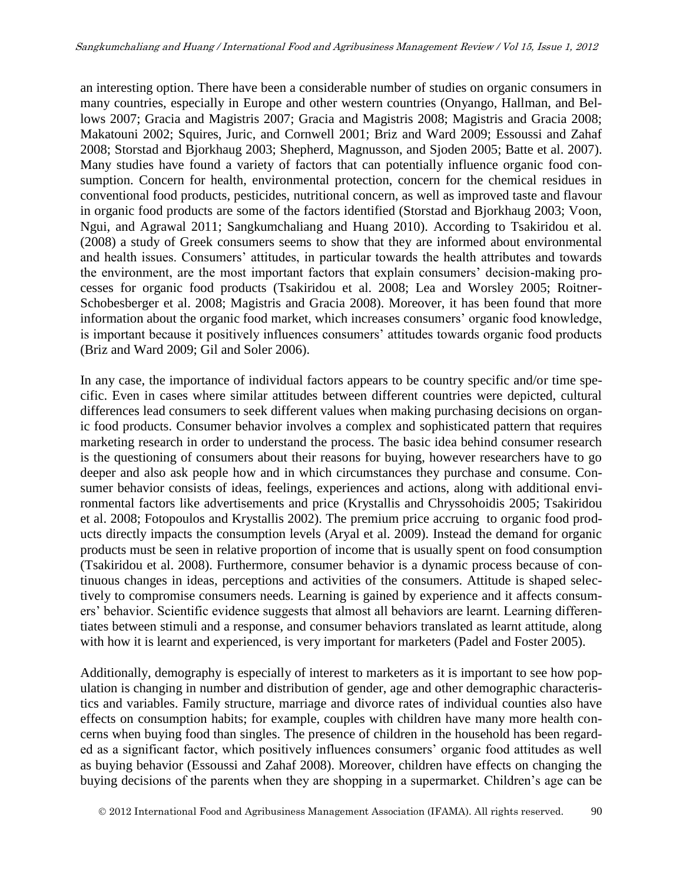an interesting option. There have been a considerable number of studies on organic consumers in many countries, especially in Europe and other western countries (Onyango, Hallman, and Bellows 2007; Gracia and Magistris 2007; Gracia and Magistris 2008; Magistris and Gracia 2008; Makatouni 2002; Squires, Juric, and Cornwell 2001; Briz and Ward 2009; Essoussi and Zahaf 2008; Storstad and Bjorkhaug 2003; Shepherd, Magnusson, and Sjoden 2005; Batte et al. 2007). Many studies have found a variety of factors that can potentially influence organic food consumption. Concern for health, environmental protection, concern for the chemical residues in conventional food products, pesticides, nutritional concern, as well as improved taste and flavour in organic food products are some of the factors identified (Storstad and Bjorkhaug 2003; Voon, Ngui, and Agrawal 2011; Sangkumchaliang and Huang 2010). According to Tsakiridou et al. (2008) a study of Greek consumers seems to show that they are informed about environmental and health issues. Consumers' attitudes, in particular towards the health attributes and towards the environment, are the most important factors that explain consumers' decision-making processes for organic food products (Tsakiridou et al. 2008; Lea and Worsley 2005; Roitner-Schobesberger et al. 2008; Magistris and Gracia 2008). Moreover, it has been found that more information about the organic food market, which increases consumers' organic food knowledge, is important because it positively influences consumers' attitudes towards organic food products (Briz and Ward 2009; Gil and Soler 2006).

In any case, the importance of individual factors appears to be country specific and/or time specific. Even in cases where similar attitudes between different countries were depicted, cultural differences lead consumers to seek different values when making purchasing decisions on organic food products. Consumer behavior involves a complex and sophisticated pattern that requires marketing research in order to understand the process. The basic idea behind consumer research is the questioning of consumers about their reasons for buying, however researchers have to go deeper and also ask people how and in which circumstances they purchase and consume. Consumer behavior consists of ideas, feelings, experiences and actions, along with additional environmental factors like advertisements and price (Krystallis and Chryssohoidis 2005; Tsakiridou et al. 2008; Fotopoulos and Krystallis 2002). The premium price accruing to organic food products directly impacts the consumption levels (Aryal et al. 2009). Instead the demand for organic products must be seen in relative proportion of income that is usually spent on food consumption (Tsakiridou et al. 2008). Furthermore, consumer behavior is a dynamic process because of continuous changes in ideas, perceptions and activities of the consumers. Attitude is shaped selectively to compromise consumers needs. Learning is gained by experience and it affects consumers' behavior. Scientific evidence suggests that almost all behaviors are learnt. Learning differentiates between stimuli and a response, and consumer behaviors translated as learnt attitude, along with how it is learnt and experienced, is very important for marketers (Padel and Foster 2005).

Additionally, demography is especially of interest to marketers as it is important to see how population is changing in number and distribution of gender, age and other demographic characteristics and variables. Family structure, marriage and divorce rates of individual counties also have effects on consumption habits; for example, couples with children have many more health concerns when buying food than singles. The presence of children in the household has been regarded as a significant factor, which positively influences consumers' organic food attitudes as well as buying behavior (Essoussi and Zahaf 2008). Moreover, children have effects on changing the buying decisions of the parents when they are shopping in a supermarket. Children's age can be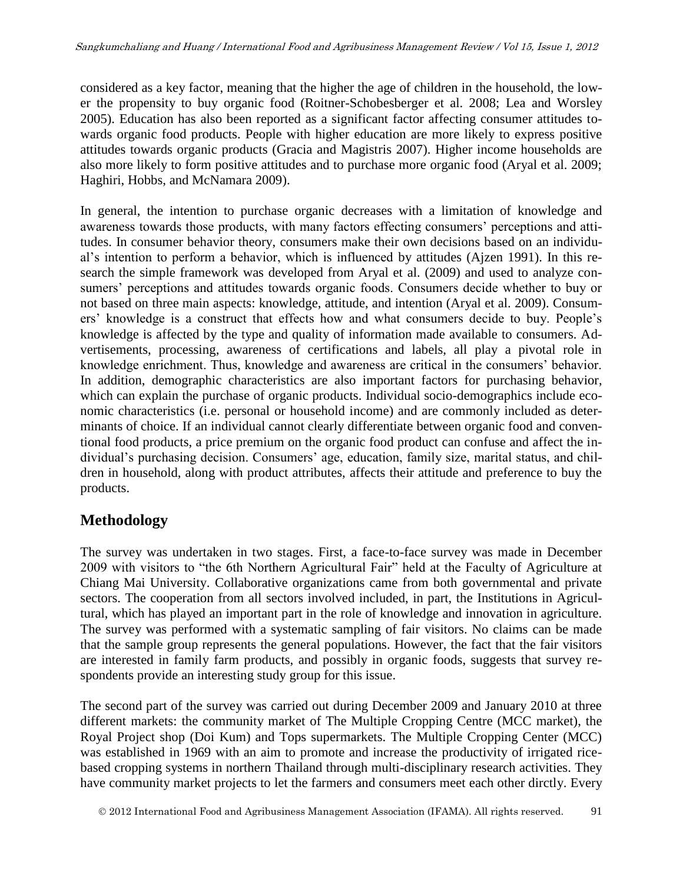considered as a key factor, meaning that the higher the age of children in the household, the lower the propensity to buy organic food (Roitner-Schobesberger et al. 2008; Lea and Worsley 2005). Education has also been reported as a significant factor affecting consumer attitudes towards organic food products. People with higher education are more likely to express positive attitudes towards organic products (Gracia and Magistris 2007). Higher income households are also more likely to form positive attitudes and to purchase more organic food (Aryal et al. 2009; Haghiri, Hobbs, and McNamara 2009).

In general, the intention to purchase organic decreases with a limitation of knowledge and awareness towards those products, with many factors effecting consumers' perceptions and attitudes. In consumer behavior theory, consumers make their own decisions based on an individual's intention to perform a behavior, which is influenced by attitudes (Ajzen 1991). In this research the simple framework was developed from Aryal et al. (2009) and used to analyze consumers' perceptions and attitudes towards organic foods. Consumers decide whether to buy or not based on three main aspects: knowledge, attitude, and intention (Aryal et al. 2009). Consumers' knowledge is a construct that effects how and what consumers decide to buy. People's knowledge is affected by the type and quality of information made available to consumers. Advertisements, processing, awareness of certifications and labels, all play a pivotal role in knowledge enrichment. Thus, knowledge and awareness are critical in the consumers' behavior. In addition, demographic characteristics are also important factors for purchasing behavior, which can explain the purchase of organic products. Individual socio-demographics include economic characteristics (i.e. personal or household income) and are commonly included as determinants of choice. If an individual cannot clearly differentiate between organic food and conventional food products, a price premium on the organic food product can confuse and affect the individual's purchasing decision. Consumers' age, education, family size, marital status, and children in household, along with product attributes, affects their attitude and preference to buy the products.

## **Methodology**

The survey was undertaken in two stages. First, a face-to-face survey was made in December 2009 with visitors to "the 6th Northern Agricultural Fair" held at the Faculty of Agriculture at Chiang Mai University. Collaborative organizations came from both governmental and private sectors. The cooperation from all sectors involved included, in part, the Institutions in Agricultural, which has played an important part in the role of knowledge and innovation in agriculture. The survey was performed with a systematic sampling of fair visitors. No claims can be made that the sample group represents the general populations. However, the fact that the fair visitors are interested in family farm products, and possibly in organic foods, suggests that survey respondents provide an interesting study group for this issue.

The second part of the survey was carried out during December 2009 and January 2010 at three different markets: the community market of The Multiple Cropping Centre (MCC market), the Royal Project shop (Doi Kum) and Tops supermarkets. The Multiple Cropping Center (MCC) was established in 1969 with an aim to promote and increase the productivity of irrigated ricebased cropping systems in northern Thailand through multi-disciplinary research activities. They have community market projects to let the farmers and consumers meet each other dirctly. Every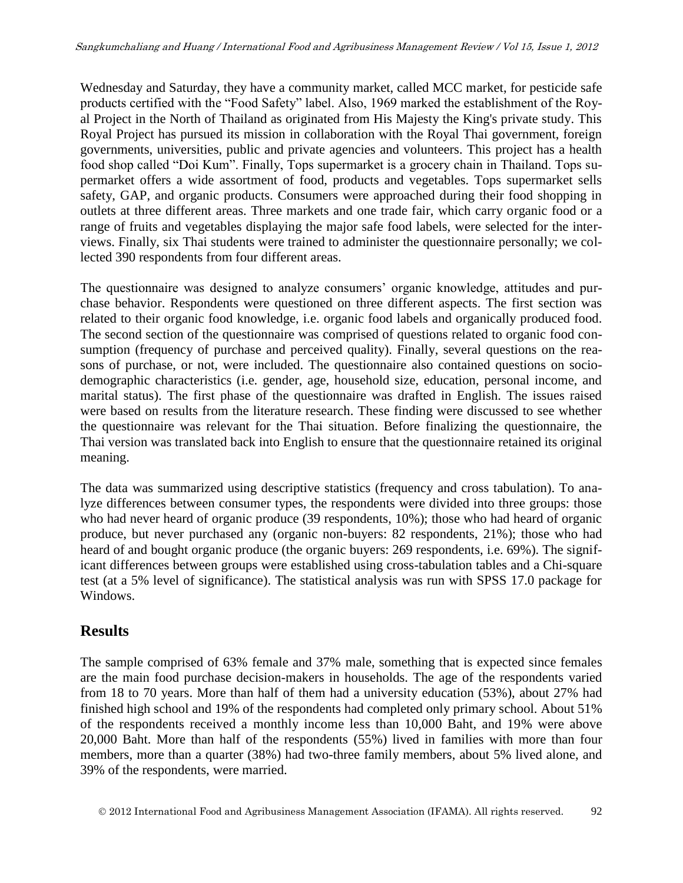Wednesday and Saturday, they have a community market, called MCC market, for pesticide safe products certified with the "Food Safety" label. Also, 1969 marked the establishment of the Royal Project in the North of Thailand as originated from His Majesty the King's private study. This Royal Project has pursued its mission in collaboration with the Royal Thai government, foreign governments, universities, public and private agencies and volunteers. This project has a health food shop called "Doi Kum". Finally, Tops supermarket is a grocery chain in Thailand. Tops supermarket offers a wide assortment of food, products and vegetables. Tops supermarket sells safety, GAP, and organic products. Consumers were approached during their food shopping in outlets at three different areas. Three markets and one trade fair, which carry organic food or a range of fruits and vegetables displaying the major safe food labels, were selected for the interviews. Finally, six Thai students were trained to administer the questionnaire personally; we collected 390 respondents from four different areas.

The questionnaire was designed to analyze consumers' organic knowledge, attitudes and purchase behavior. Respondents were questioned on three different aspects. The first section was related to their organic food knowledge, i.e. organic food labels and organically produced food. The second section of the questionnaire was comprised of questions related to organic food consumption (frequency of purchase and perceived quality). Finally, several questions on the reasons of purchase, or not, were included. The questionnaire also contained questions on sociodemographic characteristics (i.e. gender, age, household size, education, personal income, and marital status). The first phase of the questionnaire was drafted in English. The issues raised were based on results from the literature research. These finding were discussed to see whether the questionnaire was relevant for the Thai situation. Before finalizing the questionnaire, the Thai version was translated back into English to ensure that the questionnaire retained its original meaning.

The data was summarized using descriptive statistics (frequency and cross tabulation). To analyze differences between consumer types, the respondents were divided into three groups: those who had never heard of organic produce (39 respondents, 10%); those who had heard of organic produce, but never purchased any (organic non-buyers: 82 respondents, 21%); those who had heard of and bought organic produce (the organic buyers: 269 respondents, i.e. 69%). The significant differences between groups were established using cross-tabulation tables and a Chi-square test (at a 5% level of significance). The statistical analysis was run with SPSS 17.0 package for Windows.

## **Results**

The sample comprised of 63% female and 37% male, something that is expected since females are the main food purchase decision-makers in households. The age of the respondents varied from 18 to 70 years. More than half of them had a university education (53%), about 27% had finished high school and 19% of the respondents had completed only primary school. About 51% of the respondents received a monthly income less than 10,000 Baht, and 19% were above 20,000 Baht. More than half of the respondents (55%) lived in families with more than four members, more than a quarter (38%) had two-three family members, about 5% lived alone, and 39% of the respondents, were married.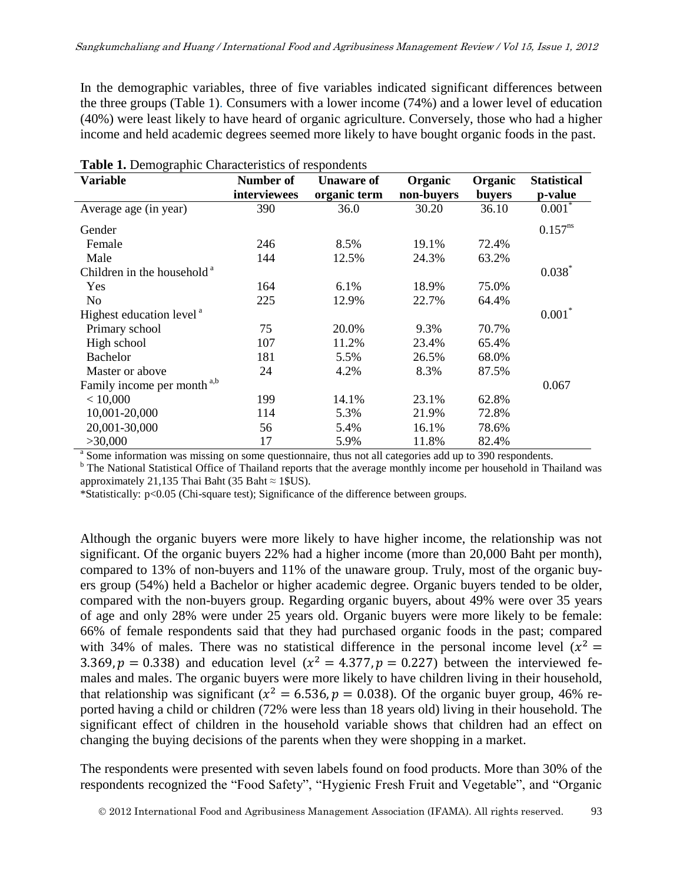In the demographic variables, three of five variables indicated significant differences between the three groups (Table 1). Consumers with a lower income (74%) and a lower level of education (40%) were least likely to have heard of organic agriculture. Conversely, those who had a higher income and held academic degrees seemed more likely to have bought organic foods in the past.

| <b>rapid 1.</b> Demographic enaracteristics of respondents<br><b>Variable</b> | Number of    | <b>Unaware of</b> | <b>Statistical</b>    |                          |              |
|-------------------------------------------------------------------------------|--------------|-------------------|-----------------------|--------------------------|--------------|
|                                                                               | interviewees | organic term      | Organic<br>non-buyers | Organic<br><b>buyers</b> | p-value      |
| Average age (in year)                                                         | 390          | 36.0              | 30.20                 | 36.10                    | $0.001*$     |
| Gender                                                                        |              |                   |                       |                          | $0.157^{ns}$ |
| Female                                                                        | 246          | 8.5%              | 19.1%                 | 72.4%                    |              |
| Male                                                                          | 144          | 12.5%             | 24.3%                 | 63.2%                    |              |
| Children in the household <sup>a</sup>                                        |              |                   |                       |                          | $0.038^*$    |
| Yes                                                                           | 164          | 6.1%              | 18.9%                 | 75.0%                    |              |
| N <sub>0</sub>                                                                | 225          | 12.9%             | 22.7%                 | 64.4%                    |              |
| Highest education level <sup>a</sup>                                          |              |                   |                       |                          | $0.001*$     |
| Primary school                                                                | 75           | 20.0%             | 9.3%                  | 70.7%                    |              |
| High school                                                                   | 107          | 11.2%             | 23.4%                 | 65.4%                    |              |
| Bachelor                                                                      | 181          | 5.5%              | 26.5%                 | 68.0%                    |              |
| Master or above                                                               | 24           | 4.2%              | 8.3%                  | 87.5%                    |              |
| Family income per month <sup>a,b</sup>                                        |              |                   |                       |                          | 0.067        |
| < 10,000                                                                      | 199          | 14.1%             | 23.1%                 | 62.8%                    |              |
| 10,001-20,000                                                                 | 114          | 5.3%              | 21.9%                 | 72.8%                    |              |
| 20,001-30,000                                                                 | 56           | 5.4%              | 16.1%                 | 78.6%                    |              |
| >30,000                                                                       | 17           | 5.9%              | 11.8%                 | 82.4%                    |              |

| Table 1. Demographic Characteristics of respondents |  |  |  |
|-----------------------------------------------------|--|--|--|
|-----------------------------------------------------|--|--|--|

<sup>a</sup> Some information was missing on some questionnaire, thus not all categories add up to 390 respondents.

<sup>b</sup> The National Statistical Office of Thailand reports that the average monthly income per household in Thailand was approximately 21,135 Thai Baht (35 Baht  $\approx$  1\$US).

\*Statistically: p<0.05 (Chi-square test); Significance of the difference between groups.

Although the organic buyers were more likely to have higher income, the relationship was not significant. Of the organic buyers 22% had a higher income (more than 20,000 Baht per month), compared to 13% of non-buyers and 11% of the unaware group. Truly, most of the organic buyers group (54%) held a Bachelor or higher academic degree. Organic buyers tended to be older, compared with the non-buyers group. Regarding organic buyers, about 49% were over 35 years of age and only 28% were under 25 years old. Organic buyers were more likely to be female: 66% of female respondents said that they had purchased organic foods in the past; compared with 34% of males. There was no statistical difference in the personal income level  $(x^2)$ 3.369,  $p = 0.338$ ) and education level ( $x^2 = 4.377$ ,  $p = 0.227$ ) between the interviewed females and males. The organic buyers were more likely to have children living in their household, that relationship was significant ( $x^2 = 6.536$ ,  $p = 0.038$ ). Of the organic buyer group, 46% reported having a child or children (72% were less than 18 years old) living in their household. The significant effect of children in the household variable shows that children had an effect on changing the buying decisions of the parents when they were shopping in a market.

The respondents were presented with seven labels found on food products. More than 30% of the respondents recognized the "Food Safety", "Hygienic Fresh Fruit and Vegetable", and "Organic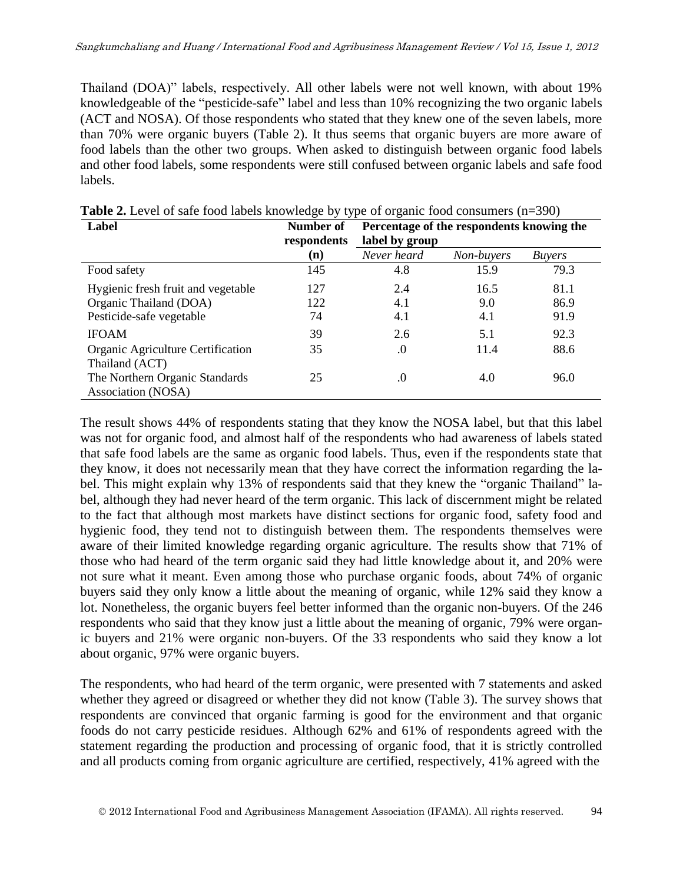Thailand (DOA)" labels, respectively. All other labels were not well known, with about 19% knowledgeable of the "pesticide-safe" label and less than 10% recognizing the two organic labels (ACT and NOSA). Of those respondents who stated that they knew one of the seven labels, more than 70% were organic buyers (Table 2). It thus seems that organic buyers are more aware of food labels than the other two groups. When asked to distinguish between organic food labels and other food labels, some respondents were still confused between organic labels and safe food labels.

| Label                                                | Number of<br>respondents | Percentage of the respondents knowing the<br>label by group |            |               |
|------------------------------------------------------|--------------------------|-------------------------------------------------------------|------------|---------------|
|                                                      | (n)                      | Never heard                                                 | Non-buyers | <i>Buyers</i> |
| Food safety                                          | 145                      | 4.8                                                         | 15.9       | 79.3          |
| Hygienic fresh fruit and vegetable                   | 127                      | 2.4                                                         | 16.5       | 81.1          |
| Organic Thailand (DOA)                               | 122                      | 4.1                                                         | 9.0        | 86.9          |
| Pesticide-safe vegetable                             | 74                       | 4.1                                                         | 4.1        | 91.9          |
| <b>IFOAM</b>                                         | 39                       | 2.6                                                         | 5.1        | 92.3          |
| Organic Agriculture Certification<br>Thailand (ACT)  | 35                       | .0                                                          | 11.4       | 88.6          |
| The Northern Organic Standards<br>Association (NOSA) | 25                       | .0                                                          | 4.0        | 96.0          |

**Table 2.** Level of safe food labels knowledge by type of organic food consumers (n=390)

The result shows 44% of respondents stating that they know the NOSA label, but that this label was not for organic food, and almost half of the respondents who had awareness of labels stated that safe food labels are the same as organic food labels. Thus, even if the respondents state that they know, it does not necessarily mean that they have correct the information regarding the label. This might explain why 13% of respondents said that they knew the "organic Thailand" label, although they had never heard of the term organic. This lack of discernment might be related to the fact that although most markets have distinct sections for organic food, safety food and hygienic food, they tend not to distinguish between them. The respondents themselves were aware of their limited knowledge regarding organic agriculture. The results show that 71% of those who had heard of the term organic said they had little knowledge about it, and 20% were not sure what it meant. Even among those who purchase organic foods, about 74% of organic buyers said they only know a little about the meaning of organic, while 12% said they know a lot. Nonetheless, the organic buyers feel better informed than the organic non-buyers. Of the 246 respondents who said that they know just a little about the meaning of organic, 79% were organic buyers and 21% were organic non-buyers. Of the 33 respondents who said they know a lot about organic, 97% were organic buyers.

The respondents, who had heard of the term organic, were presented with 7 statements and asked whether they agreed or disagreed or whether they did not know (Table 3). The survey shows that respondents are convinced that organic farming is good for the environment and that organic foods do not carry pesticide residues. Although 62% and 61% of respondents agreed with the statement regarding the production and processing of organic food, that it is strictly controlled and all products coming from organic agriculture are certified, respectively, 41% agreed with the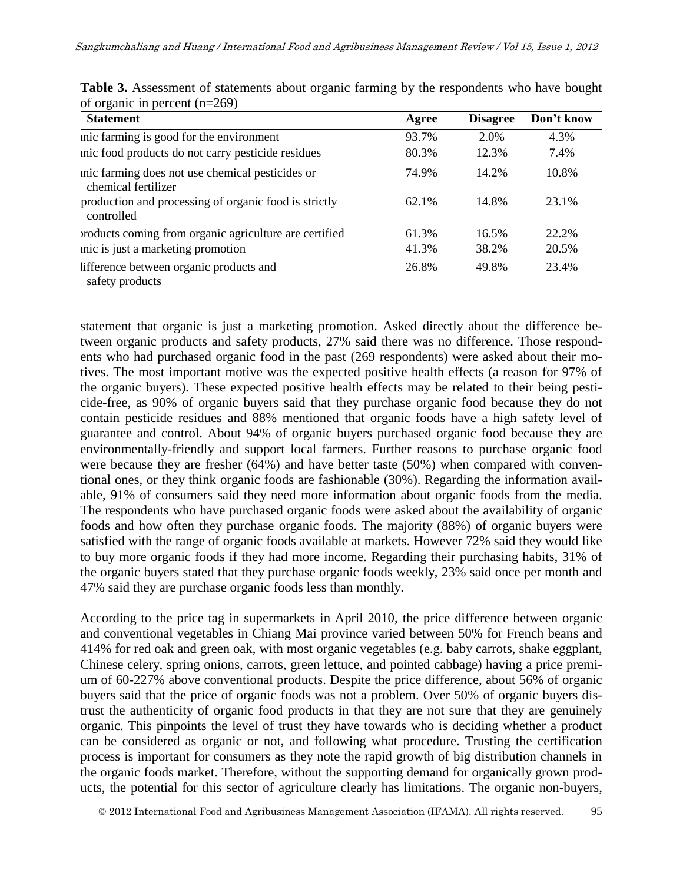| <b>Statement</b>                                                        | Agree | <b>Disagree</b> | Don't know |
|-------------------------------------------------------------------------|-------|-----------------|------------|
| unic farming is good for the environment                                | 93.7% | 2.0%            | 4.3%       |
| unic food products do not carry pesticide residues                      | 80.3% | 12.3%           | 7.4%       |
| unic farming does not use chemical pesticides or<br>chemical fertilizer | 74.9% | 14.2%           | 10.8%      |
| production and processing of organic food is strictly<br>controlled     | 62.1% | 14.8%           | 23.1%      |
| products coming from organic agriculture are certified                  | 61.3% | 16.5%           | 22.2%      |
| unic is just a marketing promotion                                      | 41.3% | 38.2%           | 20.5%      |
| lifference between organic products and<br>safety products              | 26.8% | 49.8%           | 23.4%      |

|                                 |  |  | <b>Table 3.</b> Assessment of statements about organic farming by the respondents who have bought |  |
|---------------------------------|--|--|---------------------------------------------------------------------------------------------------|--|
| of organic in percent $(n=269)$ |  |  |                                                                                                   |  |

statement that organic is just a marketing promotion. Asked directly about the difference between organic products and safety products, 27% said there was no difference. Those respondents who had purchased organic food in the past (269 respondents) were asked about their motives. The most important motive was the expected positive health effects (a reason for 97% of the organic buyers). These expected positive health effects may be related to their being pesticide-free, as 90% of organic buyers said that they purchase organic food because they do not contain pesticide residues and 88% mentioned that organic foods have a high safety level of guarantee and control. About 94% of organic buyers purchased organic food because they are environmentally-friendly and support local farmers. Further reasons to purchase organic food were because they are fresher (64%) and have better taste (50%) when compared with conventional ones, or they think organic foods are fashionable (30%). Regarding the information available, 91% of consumers said they need more information about organic foods from the media. The respondents who have purchased organic foods were asked about the availability of organic foods and how often they purchase organic foods. The majority (88%) of organic buyers were satisfied with the range of organic foods available at markets. However 72% said they would like to buy more organic foods if they had more income. Regarding their purchasing habits, 31% of the organic buyers stated that they purchase organic foods weekly, 23% said once per month and 47% said they are purchase organic foods less than monthly.

According to the price tag in supermarkets in April 2010, the price difference between organic and conventional vegetables in Chiang Mai province varied between 50% for French beans and 414% for red oak and green oak, with most organic vegetables (e.g. baby carrots, shake eggplant, Chinese celery, spring onions, carrots, green lettuce, and pointed cabbage) having a price premium of 60-227% above conventional products. Despite the price difference, about 56% of organic buyers said that the price of organic foods was not a problem. Over 50% of organic buyers distrust the authenticity of organic food products in that they are not sure that they are genuinely organic. This pinpoints the level of trust they have towards who is deciding whether a product can be considered as organic or not, and following what procedure. Trusting the certification process is important for consumers as they note the rapid growth of big distribution channels in the organic foods market. Therefore, without the supporting demand for organically grown products, the potential for this sector of agriculture clearly has limitations. The organic non-buyers,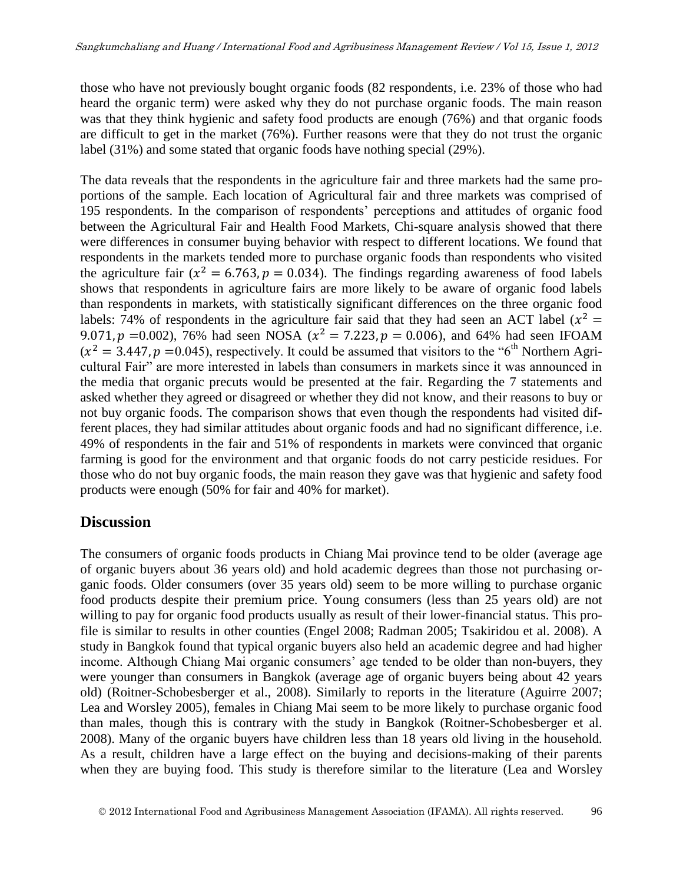those who have not previously bought organic foods (82 respondents, i.e. 23% of those who had heard the organic term) were asked why they do not purchase organic foods. The main reason was that they think hygienic and safety food products are enough (76%) and that organic foods are difficult to get in the market (76%). Further reasons were that they do not trust the organic label (31%) and some stated that organic foods have nothing special (29%).

The data reveals that the respondents in the agriculture fair and three markets had the same proportions of the sample. Each location of Agricultural fair and three markets was comprised of 195 respondents. In the comparison of respondents' perceptions and attitudes of organic food between the Agricultural Fair and Health Food Markets, Chi-square analysis showed that there were differences in consumer buying behavior with respect to different locations. We found that respondents in the markets tended more to purchase organic foods than respondents who visited the agriculture fair ( $x^2 = 6.763$ ,  $p = 0.034$ ). The findings regarding awareness of food labels shows that respondents in agriculture fairs are more likely to be aware of organic food labels than respondents in markets, with statistically significant differences on the three organic food labels: 74% of respondents in the agriculture fair said that they had seen an ACT label  $(x^2)$ 9.071,  $p = 0.002$ ), 76% had seen NOSA ( $x^2 = 7.223$ ,  $p = 0.006$ ), and 64% had seen IFOAM  $(x^2 = 3.447, p = 0.045)$ , respectively. It could be assumed that visitors to the "6<sup>th</sup> Northern Agricultural Fair" are more interested in labels than consumers in markets since it was announced in the media that organic precuts would be presented at the fair. Regarding the 7 statements and asked whether they agreed or disagreed or whether they did not know, and their reasons to buy or not buy organic foods. The comparison shows that even though the respondents had visited different places, they had similar attitudes about organic foods and had no significant difference, i.e. 49% of respondents in the fair and 51% of respondents in markets were convinced that organic farming is good for the environment and that organic foods do not carry pesticide residues. For those who do not buy organic foods, the main reason they gave was that hygienic and safety food products were enough (50% for fair and 40% for market).

#### **Discussion**

The consumers of organic foods products in Chiang Mai province tend to be older (average age of organic buyers about 36 years old) and hold academic degrees than those not purchasing organic foods. Older consumers (over 35 years old) seem to be more willing to purchase organic food products despite their premium price. Young consumers (less than 25 years old) are not willing to pay for organic food products usually as result of their lower-financial status. This profile is similar to results in other counties [\(Engel 2008;](#page-12-0) [Radman 2005;](#page-14-0) [Tsakiridou et al. 2008\)](#page-14-1). A study in Bangkok found that typical organic buyers also held an academic degree and had higher income. Although Chiang Mai organic consumers' age tended to be older than non-buyers, they were younger than consumers in Bangkok (average age of organic buyers being about 42 years old) [\(Roitner-Schobesberger et al., 2008\)](#page-13-0). Similarly to reports in the literature [\(Aguirre 2007;](#page-12-1) [Lea and Worsley 2005\)](#page-13-1), females in Chiang Mai seem to be more likely to purchase organic food than males, though this is contrary with the study in Bangkok [\(Roitner-Schobesberger et al.](#page-14-2)  [2008\)](#page-14-2). Many of the organic buyers have children less than 18 years old living in the household. As a result, children have a large effect on the buying and decisions-making of their parents when they are buying food. This study is therefore similar to the literature [\(Lea and Worsley](#page-13-1)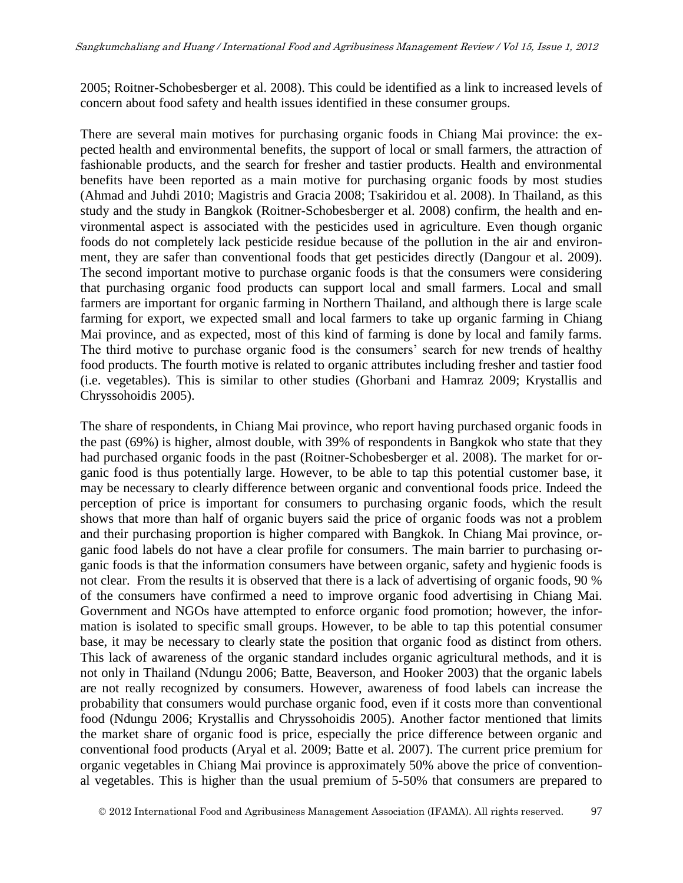[2005;](#page-13-1) [Roitner-Schobesberger et al. 2008\)](#page-14-2). This could be identified as a link to increased levels of concern about food safety and health issues identified in these consumer groups.

There are several main motives for purchasing organic foods in Chiang Mai province: the expected health and environmental benefits, the support of local or small farmers, the attraction of fashionable products, and the search for fresher and tastier products. Health and environmental benefits have been reported as a main motive for purchasing organic foods by most studies [\(Ahmad and Juhdi 2010;](#page-12-2) [Magistris and Gracia 2008;](#page-13-2) [Tsakiridou et al. 2008\)](#page-14-1). In Thailand, as this study and the study in Bangkok [\(Roitner-Schobesberger et al. 2008\)](#page-14-2) confirm, the health and environmental aspect is associated with the pesticides used in agriculture. Even though organic foods do not completely lack pesticide residue because of the pollution in the air and environment, they are safer than conventional foods that get pesticides directly [\(Dangour et al. 2009\)](#page-12-3). The second important motive to purchase organic foods is that the consumers were considering that purchasing organic food products can support local and small farmers. Local and small farmers are important for organic farming in Northern Thailand, and although there is large scale farming for export, we expected small and local farmers to take up organic farming in Chiang Mai province, and as expected, most of this kind of farming is done by local and family farms. The third motive to purchase organic food is the consumers' search for new trends of healthy food products. The fourth motive is related to organic attributes including fresher and tastier food (i.e. vegetables). This is similar to other studies [\(Ghorbani and Hamraz 2009;](#page-12-4) [Krystallis and](#page-13-0)  [Chryssohoidis 2005\)](#page-13-0).

The share of respondents, in Chiang Mai province, who report having purchased organic foods in the past (69%) is higher, almost double, with 39% of respondents in Bangkok who state that they had purchased organic foods in the past [\(Roitner-Schobesberger et al. 2008\)](#page-14-2). The market for organic food is thus potentially large. However, to be able to tap this potential customer base, it may be necessary to clearly difference between organic and conventional foods price. Indeed the perception of price is important for consumers to purchasing organic foods, which the result shows that more than half of organic buyers said the price of organic foods was not a problem and their purchasing proportion is higher compared with Bangkok. In Chiang Mai province, organic food labels do not have a clear profile for consumers. The main barrier to purchasing organic foods is that the information consumers have between organic, safety and hygienic foods is not clear. From the results it is observed that there is a lack of advertising of organic foods, 90 % of the consumers have confirmed a need to improve organic food advertising in Chiang Mai. Government and NGOs have attempted to enforce organic food promotion; however, the information is isolated to specific small groups. However, to be able to tap this potential consumer base, it may be necessary to clearly state the position that organic food as distinct from others. This lack of awareness of the organic standard includes organic agricultural methods, and it is not only in Thailand [\(Ndungu 2006;](#page-13-3) [Batte, Beaverson, and Hooker 2003\)](#page-12-5) that the organic labels are not really recognized by consumers. However, awareness of food labels can increase the probability that consumers would purchase organic food, even if it costs more than conventional food [\(Ndungu 2006;](#page-13-3) [Krystallis and Chryssohoidis 2005\)](#page-13-0). Another factor mentioned that limits the market share of organic food is price, especially the price difference between organic and conventional food products [\(Aryal et al. 2009;](#page-12-6) [Batte et al. 2007\)](#page-12-7). The current price premium for organic vegetables in Chiang Mai province is approximately 50% above the price of conventional vegetables. This is higher than the usual premium of 5-50% that consumers are prepared to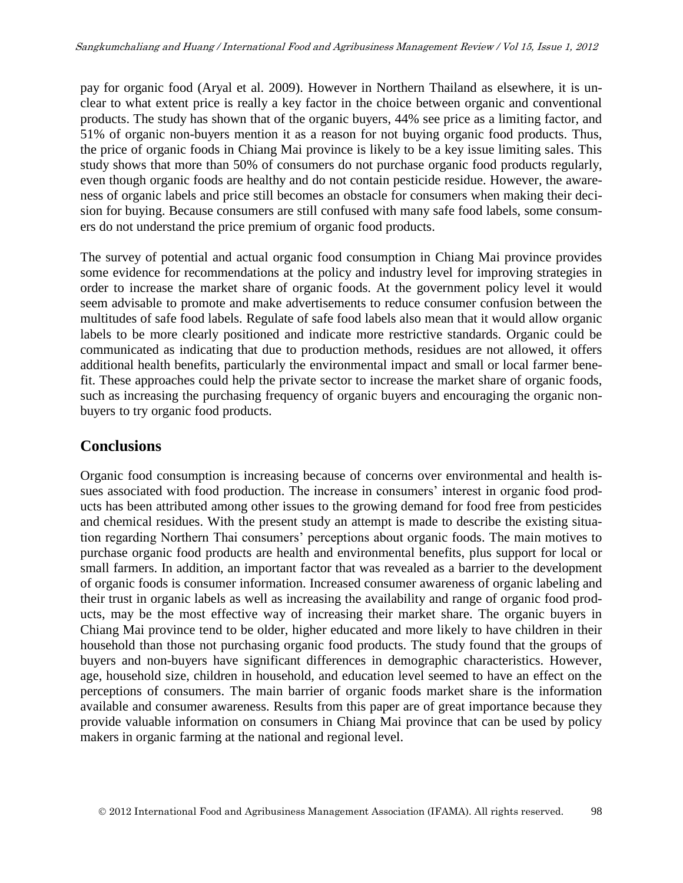pay for organic food [\(Aryal et al. 2009\)](#page-12-6). However in Northern Thailand as elsewhere, it is unclear to what extent price is really a key factor in the choice between organic and conventional products. The study has shown that of the organic buyers, 44% see price as a limiting factor, and 51% of organic non-buyers mention it as a reason for not buying organic food products. Thus, the price of organic foods in Chiang Mai province is likely to be a key issue limiting sales. This study shows that more than 50% of consumers do not purchase organic food products regularly, even though organic foods are healthy and do not contain pesticide residue. However, the awareness of organic labels and price still becomes an obstacle for consumers when making their decision for buying. Because consumers are still confused with many safe food labels, some consumers do not understand the price premium of organic food products.

The survey of potential and actual organic food consumption in Chiang Mai province provides some evidence for recommendations at the policy and industry level for improving strategies in order to increase the market share of organic foods. At the government policy level it would seem advisable to promote and make advertisements to reduce consumer confusion between the multitudes of safe food labels. Regulate of safe food labels also mean that it would allow organic labels to be more clearly positioned and indicate more restrictive standards. Organic could be communicated as indicating that due to production methods, residues are not allowed, it offers additional health benefits, particularly the environmental impact and small or local farmer benefit. These approaches could help the private sector to increase the market share of organic foods, such as increasing the purchasing frequency of organic buyers and encouraging the organic nonbuyers to try organic food products.

## **Conclusions**

Organic food consumption is increasing because of concerns over environmental and health issues associated with food production. The increase in consumers' interest in organic food products has been attributed among other issues to the growing demand for food free from pesticides and chemical residues. With the present study an attempt is made to describe the existing situation regarding Northern Thai consumers' perceptions about organic foods. The main motives to purchase organic food products are health and environmental benefits, plus support for local or small farmers. In addition, an important factor that was revealed as a barrier to the development of organic foods is consumer information. Increased consumer awareness of organic labeling and their trust in organic labels as well as increasing the availability and range of organic food products, may be the most effective way of increasing their market share. The organic buyers in Chiang Mai province tend to be older, higher educated and more likely to have children in their household than those not purchasing organic food products. The study found that the groups of buyers and non-buyers have significant differences in demographic characteristics. However, age, household size, children in household, and education level seemed to have an effect on the perceptions of consumers. The main barrier of organic foods market share is the information available and consumer awareness. Results from this paper are of great importance because they provide valuable information on consumers in Chiang Mai province that can be used by policy makers in organic farming at the national and regional level.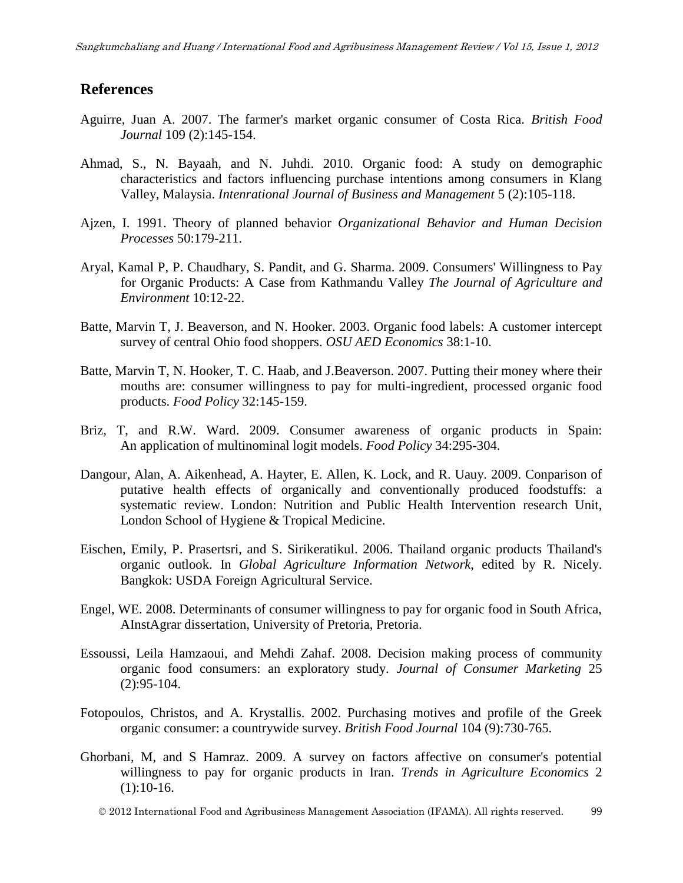#### **References**

- <span id="page-12-1"></span>Aguirre, Juan A. 2007. The farmer's market organic consumer of Costa Rica. *British Food Journal* 109 (2):145-154.
- <span id="page-12-2"></span>Ahmad, S., N. Bayaah, and N. Juhdi. 2010. Organic food: A study on demographic characteristics and factors influencing purchase intentions among consumers in Klang Valley, Malaysia. *Intenrational Journal of Business and Management* 5 (2):105-118.
- Ajzen, I. 1991. Theory of planned behavior *Organizational Behavior and Human Decision Processes* 50:179-211.
- <span id="page-12-6"></span>Aryal, Kamal P, P. Chaudhary, S. Pandit, and G. Sharma. 2009. Consumers' Willingness to Pay for Organic Products: A Case from Kathmandu Valley *The Journal of Agriculture and Environment* 10:12-22.
- <span id="page-12-5"></span>Batte, Marvin T, J. Beaverson, and N. Hooker. 2003. Organic food labels: A customer intercept survey of central Ohio food shoppers. *OSU AED Economics* 38:1-10.
- <span id="page-12-7"></span>Batte, Marvin T, N. Hooker, T. C. Haab, and J.Beaverson. 2007. Putting their money where their mouths are: consumer willingness to pay for multi-ingredient, processed organic food products. *Food Policy* 32:145-159.
- Briz, T, and R.W. Ward. 2009. Consumer awareness of organic products in Spain: An application of multinominal logit models. *Food Policy* 34:295-304.
- <span id="page-12-3"></span>Dangour, Alan, A. Aikenhead, A. Hayter, E. Allen, K. Lock, and R. Uauy. 2009. Conparison of putative health effects of organically and conventionally produced foodstuffs: a systematic review. London: Nutrition and Public Health Intervention research Unit, London School of Hygiene & Tropical Medicine.
- Eischen, Emily, P. Prasertsri, and S. Sirikeratikul. 2006. Thailand organic products Thailand's organic outlook. In *Global Agriculture Information Network*, edited by R. Nicely. Bangkok: USDA Foreign Agricultural Service.
- <span id="page-12-0"></span>Engel, WE. 2008. Determinants of consumer willingness to pay for organic food in South Africa, AInstAgrar dissertation, University of Pretoria, Pretoria.
- Essoussi, Leila Hamzaoui, and Mehdi Zahaf. 2008. Decision making process of community organic food consumers: an exploratory study. *Journal of Consumer Marketing* 25 (2):95-104.
- Fotopoulos, Christos, and A. Krystallis. 2002. Purchasing motives and profile of the Greek organic consumer: a countrywide survey. *British Food Journal* 104 (9):730-765.
- <span id="page-12-4"></span>Ghorbani, M, and S Hamraz. 2009. A survey on factors affective on consumer's potential willingness to pay for organic products in Iran. *Trends in Agriculture Economics* 2  $(1):10-16.$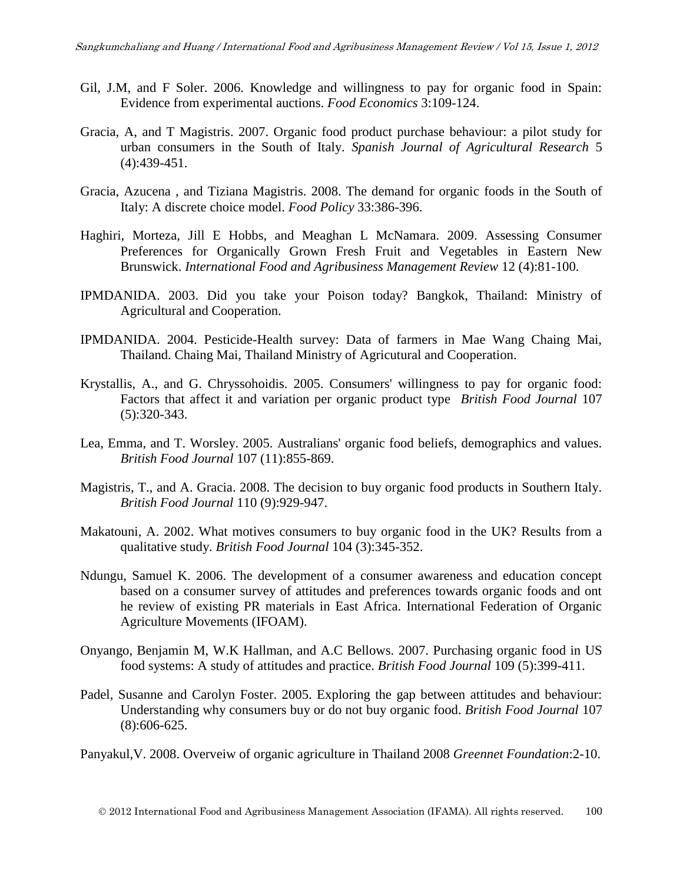- Gil, J.M, and F Soler. 2006. Knowledge and willingness to pay for organic food in Spain: Evidence from experimental auctions. *Food Economics* 3:109-124.
- Gracia, A, and T Magistris. 2007. Organic food product purchase behaviour: a pilot study for urban consumers in the South of Italy. *Spanish Journal of Agricultural Research* 5 (4):439-451.
- Gracia, Azucena , and Tiziana Magistris. 2008. The demand for organic foods in the South of Italy: A discrete choice model. *Food Policy* 33:386-396.
- Haghiri, Morteza, Jill E Hobbs, and Meaghan L McNamara. 2009. Assessing Consumer Preferences for Organically Grown Fresh Fruit and Vegetables in Eastern New Brunswick. *International Food and Agribusiness Management Review* 12 (4):81-100.
- IPMDANIDA. 2003. Did you take your Poison today? Bangkok, Thailand: Ministry of Agricultural and Cooperation.
- IPMDANIDA. 2004. Pesticide-Health survey: Data of farmers in Mae Wang Chaing Mai, Thailand. Chaing Mai, Thailand Ministry of Agricutural and Cooperation.
- <span id="page-13-0"></span>Krystallis, A., and G. Chryssohoidis. 2005. Consumers' willingness to pay for organic food: Factors that affect it and variation per organic product type *British Food Journal* 107 (5):320-343.
- <span id="page-13-1"></span>Lea, Emma, and T. Worsley. 2005. Australians' organic food beliefs, demographics and values. *British Food Journal* 107 (11):855-869.
- <span id="page-13-2"></span>Magistris, T., and A. Gracia. 2008. The decision to buy organic food products in Southern Italy. *British Food Journal* 110 (9):929-947.
- Makatouni, A. 2002. What motives consumers to buy organic food in the UK? Results from a qualitative study. *British Food Journal* 104 (3):345-352.
- <span id="page-13-3"></span>Ndungu, Samuel K. 2006. The development of a consumer awareness and education concept based on a consumer survey of attitudes and preferences towards organic foods and ont he review of existing PR materials in East Africa. International Federation of Organic Agriculture Movements (IFOAM).
- Onyango, Benjamin M, W.K Hallman, and A.C Bellows. 2007. Purchasing organic food in US food systems: A study of attitudes and practice. *British Food Journal* 109 (5):399-411.
- Padel, Susanne and Carolyn Foster. 2005. Exploring the gap between attitudes and behaviour: Understanding why consumers buy or do not buy organic food. *British Food Journal* 107 (8):606-625.

Panyakul,V. 2008. Overveiw of organic agriculture in Thailand 2008 *Greennet Foundation*:2-10.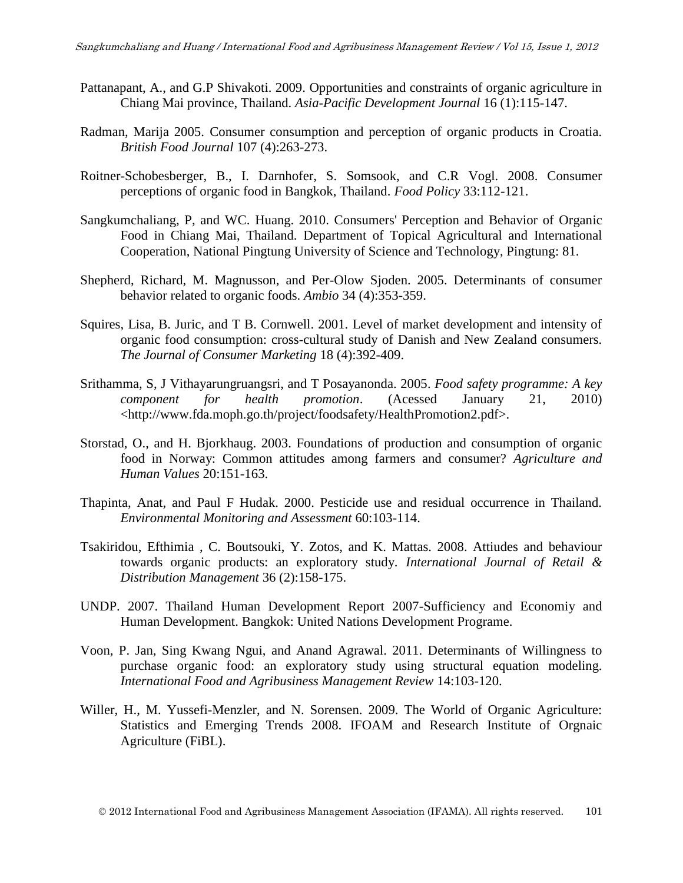- Pattanapant, A., and G.P Shivakoti. 2009. Opportunities and constraints of organic agriculture in Chiang Mai province, Thailand. *Asia-Pacific Development Journal* 16 (1):115-147.
- <span id="page-14-0"></span>Radman, Marija 2005. Consumer consumption and perception of organic products in Croatia. *British Food Journal* 107 (4):263-273.
- <span id="page-14-2"></span>Roitner-Schobesberger, B., I. Darnhofer, S. Somsook, and C.R Vogl. 2008. Consumer perceptions of organic food in Bangkok, Thailand. *Food Policy* 33:112-121.
- Sangkumchaliang, P, and WC. Huang. 2010. Consumers' Perception and Behavior of Organic Food in Chiang Mai, Thailand. Department of Topical Agricultural and International Cooperation, National Pingtung University of Science and Technology, Pingtung: 81.
- Shepherd, Richard, M. Magnusson, and Per-Olow Sjoden. 2005. Determinants of consumer behavior related to organic foods. *Ambio* 34 (4):353-359.
- Squires, Lisa, B. Juric, and T B. Cornwell. 2001. Level of market development and intensity of organic food consumption: cross-cultural study of Danish and New Zealand consumers. *The Journal of Consumer Marketing* 18 (4):392-409.
- Srithamma, S, J Vithayarungruangsri, and T Posayanonda. 2005. *Food safety programme: A key component for health promotion*. (Acessed January 21, 2010) <http://www.fda.moph.go.th/project/foodsafety/HealthPromotion2.pdf>.
- Storstad, O., and H. Bjorkhaug. 2003. Foundations of production and consumption of organic food in Norway: Common attitudes among farmers and consumer? *Agriculture and Human Values* 20:151-163.
- Thapinta, Anat, and Paul F Hudak. 2000. Pesticide use and residual occurrence in Thailand. *Environmental Monitoring and Assessment* 60:103-114.
- <span id="page-14-1"></span>Tsakiridou, Efthimia , C. Boutsouki, Y. Zotos, and K. Mattas. 2008. Attiudes and behaviour towards organic products: an exploratory study. *International Journal of Retail & Distribution Management* 36 (2):158-175.
- UNDP. 2007. Thailand Human Development Report 2007-Sufficiency and Economiy and Human Development. Bangkok: United Nations Development Programe.
- Voon, P. Jan, Sing Kwang Ngui, and Anand Agrawal. 2011. Determinants of Willingness to purchase organic food: an exploratory study using structural equation modeling. *International Food and Agribusiness Management Review* 14:103-120.
- Willer, H., M. Yussefi-Menzler, and N. Sorensen. 2009. The World of Organic Agriculture: Statistics and Emerging Trends 2008. IFOAM and Research Institute of Orgnaic Agriculture (FiBL).